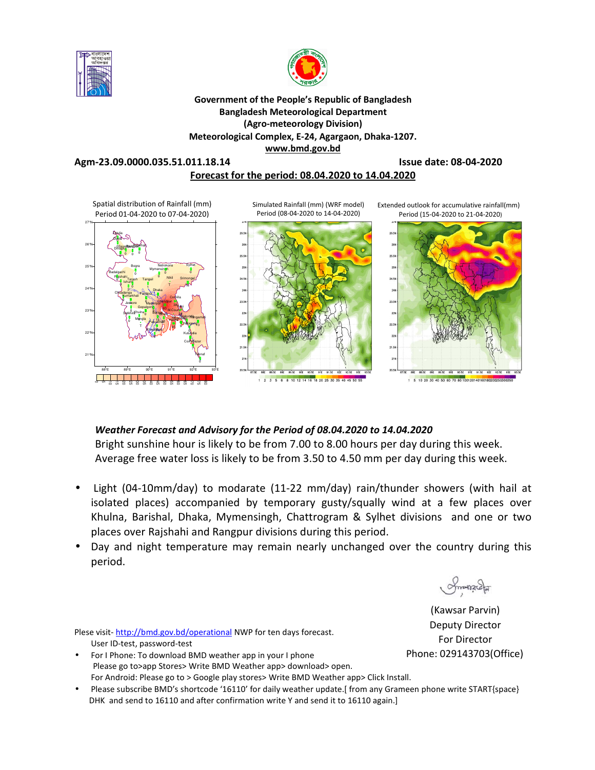



#### **Government of the People's Republic of Bangladesh Bangladesh Meteorological Department (Agro-meteorology Division) Meteorological Complex, E-24, Agargaon, Dhaka-1207. www.bmd.gov.bd**

#### **Agm-23.09.0000.035.51.011.18.14 Issue date: 08-04-2020**

#### **Forecast for the period: 08.04.2020 to 14.04.2020**



### *Weather Forecast and Advisory for the Period of 08.04.2020 to 14.04.2020*

Bright sunshine hour is likely to be from 7.00 to 8.00 hours per day during this week. Average free water loss is likely to be from 3.50 to 4.50 mm per day during this week.

- Light (04-10mm/day) to modarate (11-22 mm/day) rain/thunder showers (with hail at isolated places) accompanied by temporary gusty/squally wind at a few places over Khulna, Barishal, Dhaka, Mymensingh, Chattrogram & Sylhet divisions and one or two places over Rajshahi and Rangpur divisions during this period.
- Day and night temperature may remain nearly unchanged over the country during this period.

Smanach

Plese visit- http://bmd.gov.bd/operational NWP for ten days forecast. User ID-test, password-test

- For I Phone: To download BMD weather app in your I phone Please go to>app Stores> Write BMD Weather app> download> open. For Android: Please go to > Google play stores> Write BMD Weather app> Click Install.
- Please subscribe BMD's shortcode '16110' for daily weather update.[ from any Grameen phone write START{space} DHK and send to 16110 and after confirmation write Y and send it to 16110 again.]

(Kawsar Parvin) Deputy Director For Director Phone: 029143703(Office)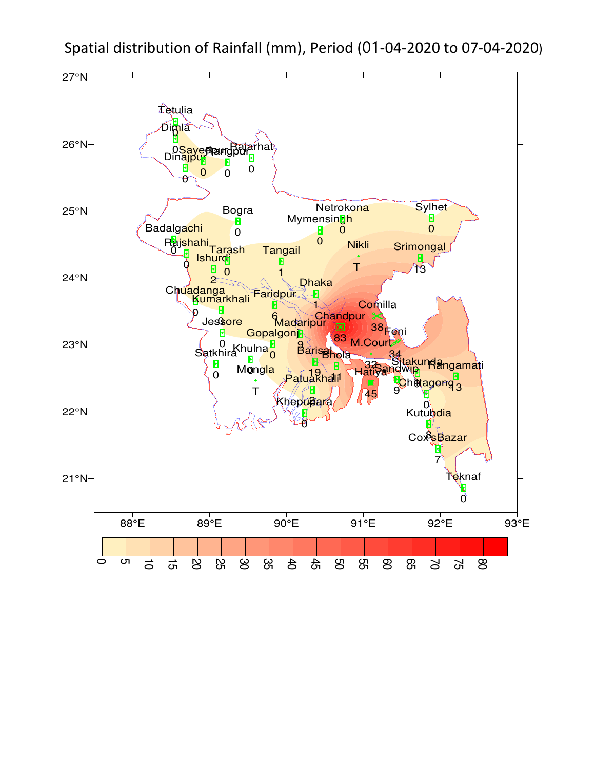

Spatial distribution of Rainfall (mm), Period (01-04-2020 to 07-04-2020)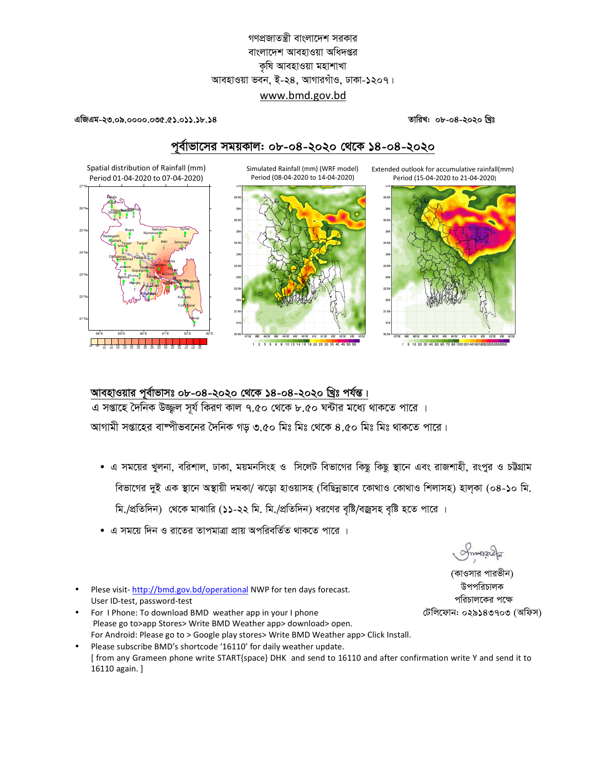## গণপ্রজাতন্ত্রী বাংলাদেশ সরকার বাংলাদেশ আবহাওয়া অধিদপ্তর কৃষি আবহাওয়া মহাশাখা আবহাওয়া ভবন, ই-২৪, আগারগাঁও, ঢাকা-১২০৭। www.bmd.gov.bd

#### এজিএম-২৩.০৯.০০০০.০৩৫.৫১.০১১.১৮.১৪

তারিখ: ০৮-০৪-২০২০ খ্রিঃ

Extended outlook for accumulative rainfall(mm)

## পূর্বাভাসের সময়কাল: ০৮-০৪-২০২০ থেকে ১৪-০৪-২০২০

Spatial distribution of Rainfall (mm) Period 01-04-2020 to 07-04-2020)



Simulated Rainfall (mm) (WRF model) Period (08-04-2020 to 14-04-2020)





# আবহাওয়ার পূর্বাভাসঃ ০৮-০৪-২০২০ থেকে ১৪-০৪-২০২০ খ্রিঃ পর্যন্ত।

আগামী সপ্তাহের বাম্পীভবনের দৈনিক গড় ৩.৫০ মিঃ মিঃ থেকে ৪.৫০ মিঃ মিঃ থাকতে পারে।

- এ সময়ের খুলনা, বরিশাল, ঢাকা, ময়মনসিংহ ও সিলেট বিভাগের কিছু কিছু স্থানে এবং রাজশাহী, রংপুর ও চট্টগ্রাম বিভাগের দুই এক স্থানে অস্থায়ী দমকা/ ঝড়ো হাওয়াসহ (বিছিন্নভাবে কোথাও কোথাও শিলাসহ) হাল্কা (০৪-১০ মি. মি./প্রতিদিন) থেকে মাঝারি (১১-২২ মি. মি./প্রতিদিন) ধরণের বৃষ্টি/বজ্রসহ বৃষ্টি হতে পারে ।
- এ সময়ে দিন ও রাতের তাপমাত্রা প্রায় অপরিবর্তিত থাকতে পারে ।

 $S<sub>me</sub>$ 

(কাওসার পারভীন) উপপরিচালক পরিচালকের পক্ষে টেলিফোন: ০২৯১৪৩৭০৩ (অফিস)

- Plese visit-http://bmd.gov.bd/operational NWP for ten days forecast. User ID-test, password-test
- For I Phone: To download BMD weather app in your I phone Please go to > app Stores > Write BMD Weather app > download > open. For Android: Please go to > Google play stores> Write BMD Weather app> Click Install.
- Please subscribe BMD's shortcode '16110' for daily weather update. [from any Grameen phone write START{space} DHK and send to 16110 and after confirmation write Y and send it to 16110 again.]